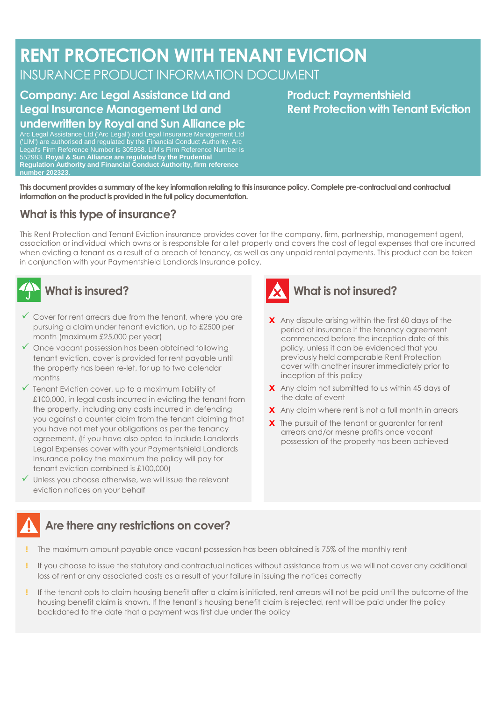## **RENT PROTECTION WITH TENANT EVICTION** INSURANCE PRODUCT INFORMATION DOCUMENT

#### **Company: Arc Legal Assistance Ltd and Legal Insurance Management Ltd and underwritten by Royal and Sun Alliance plc**

**Product: Paymentshield Rent Protection with Tenant Eviction**

Arc Legal Assistance Ltd ('Arc Legal') and Legal Insurance Management Ltd ('LIM') are authorised and regulated by the Financial Conduct Authority. Arc Legal's Firm Reference Number is 305958. LIM's Firm Reference Number is 552983. **Royal & Sun Alliance are regulated by the Prudential Regulation Authority and Financial Conduct Authority, firm reference number 202323.**

**This document provides a summary of the key information relating to this insurance policy. Complete pre-contractual and contractual information on the product is provided in the full policy documentation.**

## **What is this type of insurance?**

This Rent Protection and Tenant Eviction insurance provides cover for the company, firm, partnership, management agent, association or individual which owns or is responsible for a let property and covers the cost of legal expenses that are incurred when evicting a tenant as a result of a breach of tenancy, as well as any unpaid rental payments. This product can be taken in conjunction with your Paymentshield Landlords Insurance policy.

# **What is insured?**

- $\checkmark$  Cover for rent arrears due from the tenant, where you are pursuing a claim under tenant eviction, up to £2500 per month (maximum £25,000 per year)
- ✓ Once vacant possession has been obtained following tenant eviction, cover is provided for rent payable until the property has been re-let, for up to two calendar months
- $\checkmark$  Tenant Eviction cover, up to a maximum liability of £100,000, in legal costs incurred in evicting the tenant from the property, including any costs incurred in defending you against a counter claim from the tenant claiming that you have not met your obligations as per the tenancy agreement. (If you have also opted to include Landlords Legal Expenses cover with your Paymentshield Landlords Insurance policy the maximum the policy will pay for tenant eviction combined is £100,000)
- $\checkmark$  Unless you choose otherwise, we will issue the relevant eviction notices on your behalf



- **X** Any dispute arising within the first 60 days of the period of insurance if the tenancy agreement commenced before the inception date of this policy, unless it can be evidenced that you previously held comparable Rent Protection cover with another insurer immediately prior to inception of this policy
- **X** Any claim not submitted to us within 45 days of the date of event
- **X** Any claim where rent is not a full month in arrears
- **X** The pursuit of the tenant or guarantor for rent arrears and/or mesne profits once vacant possession of the property has been achieved

## **Are there any restrictions on cover?**

- **!** The maximum amount payable once vacant possession has been obtained is 75% of the monthly rent
- **!** If you choose to issue the statutory and contractual notices without assistance from us we will not cover any additional loss of rent or any associated costs as a result of your failure in issuing the notices correctly
- **!** If the tenant opts to claim housing benefit after a claim is initiated, rent arrears will not be paid until the outcome of the housing benefit claim is known. If the tenant's housing benefit claim is rejected, rent will be paid under the policy backdated to the date that a payment was first due under the policy